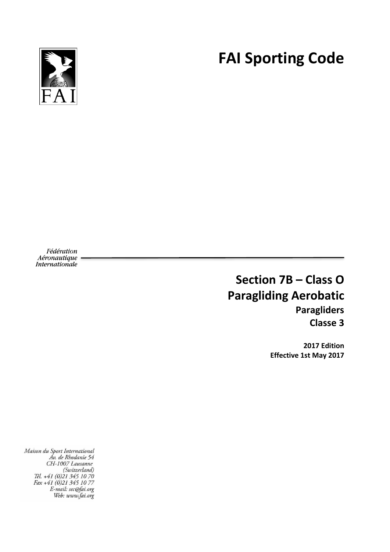**FAI Sporting Code**



Fédération Aéronautique Internationale

# **Section 7B – Class O Paragliding Aerobatic Paragliders Classe 3**

**2017 Edition Effective 1st May 2017**

Maison du Sport International<br>Av. de Rhodanie 54 CH-1007 Lausanne (Switzerland)<br>(Switzerland)<br>Tél. +41 (0)21 345 10 70 Fax +41 (0)21 345 10 77<br>Fax +41 (0)21 345 10 77<br>E-mail: sec@fai.org<br>Web: www.fai.org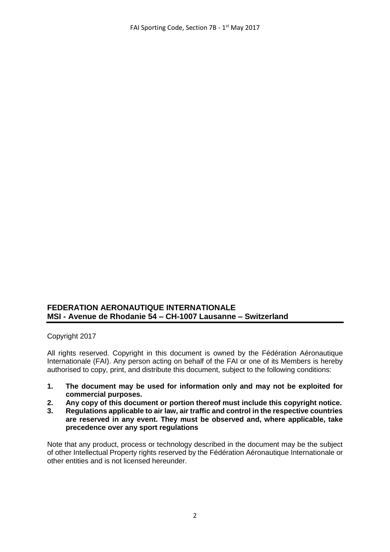# **FEDERATION AERONAUTIQUE INTERNATIONALE MSI - Avenue de Rhodanie 54 – CH-1007 Lausanne – Switzerland**

Copyright 2017

All rights reserved. Copyright in this document is owned by the Fédération Aéronautique Internationale (FAI). Any person acting on behalf of the FAI or one of its Members is hereby authorised to copy, print, and distribute this document, subject to the following conditions:

- **1. The document may be used for information only and may not be exploited for commercial purposes.**
- **2. Any copy of this document or portion thereof must include this copyright notice.**
- **3. Regulations applicable to air law, air traffic and control in the respective countries are reserved in any event. They must be observed and, where applicable, take precedence over any sport regulations**

Note that any product, process or technology described in the document may be the subject of other Intellectual Property rights reserved by the Fédération Aéronautique Internationale or other entities and is not licensed hereunder.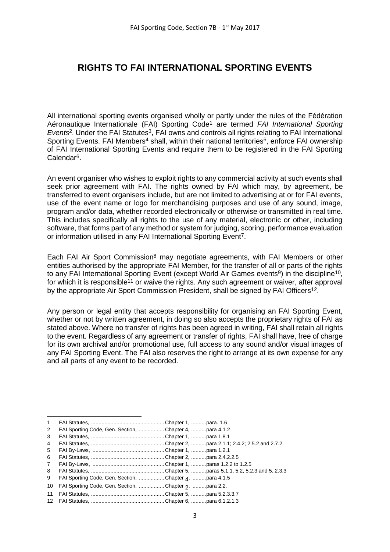# **RIGHTS TO FAI INTERNATIONAL SPORTING EVENTS**

All international sporting events organised wholly or partly under the rules of the Fédération Aéronautique Internationale (FAI) Sporting Code<sup>1</sup> are termed *FAI International Sporting Events*<sup>2</sup>. Under the FAI Statutes<sup>3</sup>, FAI owns and controls all rights relating to FAI International Sporting Events. FAI Members<sup>4</sup> shall, within their national territories<sup>5</sup>, enforce FAI ownership of FAI International Sporting Events and require them to be registered in the FAI Sporting Calendar6.

An event organiser who wishes to exploit rights to any commercial activity at such events shall seek prior agreement with FAI. The rights owned by FAI which may, by agreement, be transferred to event organisers include, but are not limited to advertising at or for FAI events, use of the event name or logo for merchandising purposes and use of any sound, image, program and/or data, whether recorded electronically or otherwise or transmitted in real time. This includes specifically all rights to the use of any material, electronic or other, including software, that forms part of any method or system for judging, scoring, performance evaluation or information utilised in any FAI International Sporting Event7.

Each FAI Air Sport Commission<sup>8</sup> may negotiate agreements, with FAI Members or other entities authorised by the appropriate FAI Member, for the transfer of all or parts of the rights to any FAI International Sporting Event (except World Air Games events<sup>9</sup>) in the discipline<sup>10</sup>, for which it is responsible<sup>11</sup> or waive the rights. Any such agreement or waiver, after approval by the appropriate Air Sport Commission President, shall be signed by FAI Officers<sup>12</sup>.

Any person or legal entity that accepts responsibility for organising an FAI Sporting Event, whether or not by written agreement, in doing so also accepts the proprietary rights of FAI as stated above. Where no transfer of rights has been agreed in writing, FAI shall retain all rights to the event. Regardless of any agreement or transfer of rights, FAI shall have, free of charge for its own archival and/or promotional use, full access to any sound and/or visual images of any FAI Sporting Event. The FAI also reserves the right to arrange at its own expense for any and all parts of any event to be recorded.

1

<sup>1</sup> FAI Statutes, ................................................. Chapter 1, ..........para. 1.6

<sup>2</sup> FAI Sporting Code, Gen. Section, ................. Chapter 4, ..........para 4.1.2 3 FAI Statutes, ................................................. Chapter 1, ..........para 1.8.1

<sup>4</sup> FAI Statutes, ................................................. Chapter 2, ..........para 2.1.1; 2.4.2; 2.5.2 and 2.7.2

<sup>5</sup> FAI By-Laws, ................................................ Chapter 1, ..........para 1.2.1

<sup>6</sup> FAI Statutes, ................................................. Chapter 2, ..........para 2.4.2.2.5

<sup>7</sup> FAI By-Laws, ................................................ Chapter 1, ..........paras 1.2.2 to 1.2.5

<sup>8</sup> FAI Statutes, ................................................. Chapter 5, ..........paras 5.1.1, 5.2, 5.2.3 and 5..2.3.3

<sup>9</sup> FAI Sporting Code, Gen. Section, .................Chapter <sub>4</sub>, .........para 4.1.5

<sup>10</sup> FAI Sporting Code, Gen. Section, .................Chapter 2, .........para 2.2.

<sup>11</sup> FAI Statutes, ................................................. Chapter 5, ..........para 5.2.3.3.7

<sup>12</sup> FAI Statutes, ................................................. Chapter 6, ..........para 6.1.2.1.3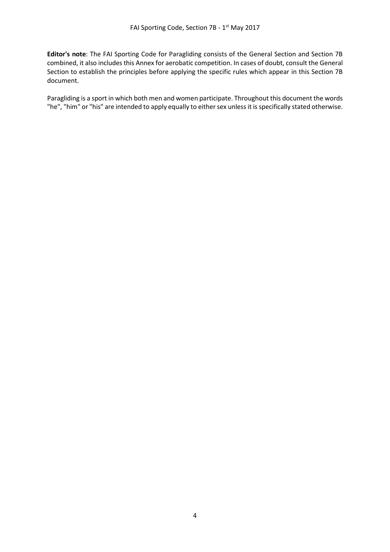**Editor's note**: The FAI Sporting Code for Paragliding consists of the General Section and Section 7B combined, it also includes this Annex for aerobatic competition. In cases of doubt, consult the General Section to establish the principles before applying the specific rules which appear in this Section 7B document.

Paragliding is a sport in which both men and women participate. Throughout this document the words "he", "him" or "his" are intended to apply equally to either sex unless it is specifically stated otherwise.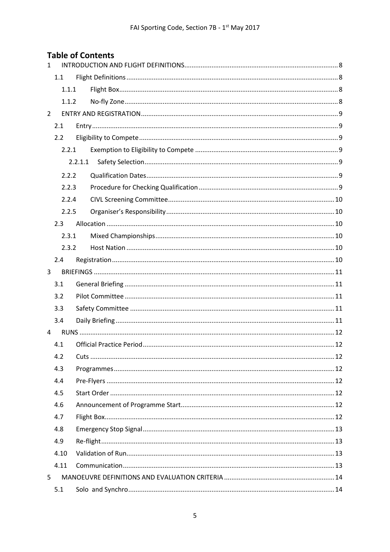# **Table of Contents**

| $\mathbf{1}$   |       |         |  |  |  |  |
|----------------|-------|---------|--|--|--|--|
|                | 1.1   |         |  |  |  |  |
|                | 1.1.1 |         |  |  |  |  |
|                | 1.1.2 |         |  |  |  |  |
| $\overline{2}$ |       |         |  |  |  |  |
|                | 2.1   |         |  |  |  |  |
|                | 2.2   |         |  |  |  |  |
|                | 2.2.1 |         |  |  |  |  |
|                |       | 2.2.1.1 |  |  |  |  |
|                | 2.2.2 |         |  |  |  |  |
|                | 2.2.3 |         |  |  |  |  |
|                | 2.2.4 |         |  |  |  |  |
|                | 2.2.5 |         |  |  |  |  |
|                | 2.3   |         |  |  |  |  |
|                | 2.3.1 |         |  |  |  |  |
|                | 2.3.2 |         |  |  |  |  |
|                | 2.4   |         |  |  |  |  |
| 3              |       |         |  |  |  |  |
|                | 3.1   |         |  |  |  |  |
|                | 3.2   |         |  |  |  |  |
|                | 3.3   |         |  |  |  |  |
|                | 3.4   |         |  |  |  |  |
| 4              |       |         |  |  |  |  |
|                | 4.1   |         |  |  |  |  |
|                | 4.2   |         |  |  |  |  |
|                | 4.3   |         |  |  |  |  |
|                | 4.4   |         |  |  |  |  |
|                | 4.5   |         |  |  |  |  |
|                | 4.6   |         |  |  |  |  |
|                | 4.7   |         |  |  |  |  |
|                | 4.8   |         |  |  |  |  |
|                | 4.9   |         |  |  |  |  |
|                | 4.10  |         |  |  |  |  |
|                | 4.11  |         |  |  |  |  |
| 5              |       |         |  |  |  |  |
|                | 5.1   |         |  |  |  |  |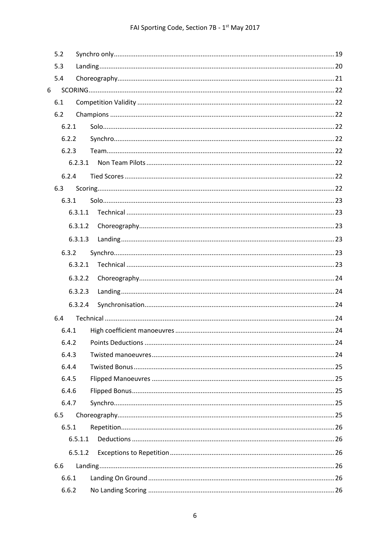| 5.2 |       |         |  |  |
|-----|-------|---------|--|--|
|     | 5.3   |         |  |  |
|     | 5.4   |         |  |  |
| 6   |       |         |  |  |
|     | 6.1   |         |  |  |
|     | 6.2   |         |  |  |
|     | 6.2.1 |         |  |  |
|     | 6.2.2 |         |  |  |
|     | 6.2.3 |         |  |  |
|     |       | 6.2.3.1 |  |  |
|     | 6.2.4 |         |  |  |
|     | 6.3   |         |  |  |
|     | 6.3.1 |         |  |  |
|     |       | 6.3.1.1 |  |  |
|     |       | 6.3.1.2 |  |  |
|     |       | 6.3.1.3 |  |  |
|     | 6.3.2 |         |  |  |
|     |       | 6.3.2.1 |  |  |
|     |       | 6.3.2.2 |  |  |
|     |       | 6.3.2.3 |  |  |
|     |       | 6.3.2.4 |  |  |
|     | 6.4   |         |  |  |
|     | 6.4.1 |         |  |  |
|     |       | 6.4.2   |  |  |
|     | 6.4.3 |         |  |  |
|     | 6.4.4 |         |  |  |
|     | 6.4.5 |         |  |  |
|     | 6.4.6 |         |  |  |
|     | 6.4.7 |         |  |  |
|     | 6.5   |         |  |  |
|     | 6.5.1 |         |  |  |
|     |       | 6.5.1.1 |  |  |
|     |       | 6.5.1.2 |  |  |
|     | 6.6   |         |  |  |
|     | 6.6.1 |         |  |  |
|     | 6.6.2 |         |  |  |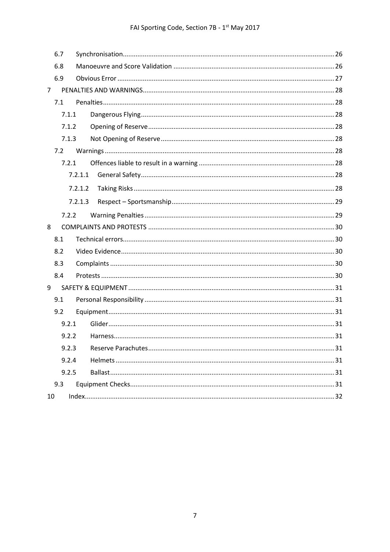|    | 6.7   |         |  |
|----|-------|---------|--|
|    | 6.8   |         |  |
|    | 6.9   |         |  |
| 7  |       |         |  |
|    | 7.1   |         |  |
|    | 7.1.1 |         |  |
|    | 7.1.2 |         |  |
|    | 7.1.3 |         |  |
|    | 7.2   |         |  |
|    | 7.2.1 |         |  |
|    |       | 7.2.1.1 |  |
|    |       | 7.2.1.2 |  |
|    |       | 7.2.1.3 |  |
|    | 7.2.2 |         |  |
| 8  |       |         |  |
|    | 8.1   |         |  |
|    | 8.2   |         |  |
|    | 8.3   |         |  |
|    | 8.4   |         |  |
| 9  |       |         |  |
|    | 9.1   |         |  |
|    | 9.2   |         |  |
|    | 9.2.1 |         |  |
|    | 9.2.2 |         |  |
|    | 9.2.3 |         |  |
|    | 9.2.4 |         |  |
|    | 9.2.5 |         |  |
|    | 9.3   |         |  |
| 10 |       |         |  |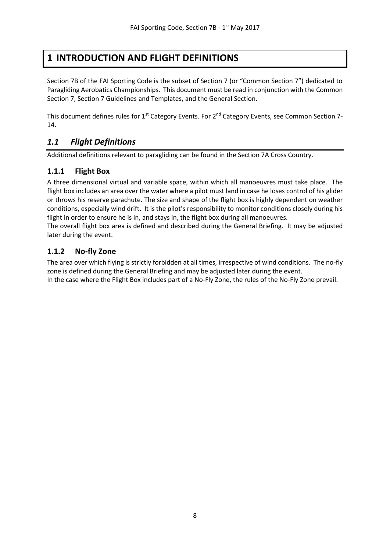# <span id="page-7-0"></span>**1 INTRODUCTION AND FLIGHT DEFINITIONS**

Section 7B of the FAI Sporting Code is the subset of Section 7 (or "Common Section 7") dedicated to Paragliding Aerobatics Championships. This document must be read in conjunction with the Common Section 7, Section 7 Guidelines and Templates, and the General Section.

This document defines rules for 1<sup>st</sup> Category Events. For 2<sup>nd</sup> Category Events, see Common Section 7-14.

# <span id="page-7-1"></span>*1.1 Flight Definitions*

Additional definitions relevant to paragliding can be found in the Section 7A Cross Country.

# <span id="page-7-2"></span>**1.1.1 Flight Box**

A three dimensional virtual and variable space, within which all manoeuvres must take place. The flight box includes an area over the water where a pilot must land in case he loses control of his glider or throws his reserve parachute. The size and shape of the flight box is highly dependent on weather conditions, especially wind drift. It is the pilot's responsibility to monitor conditions closely during his flight in order to ensure he is in, and stays in, the flight box during all manoeuvres.

The overall flight box area is defined and described during the General Briefing. It may be adjusted later during the event.

## <span id="page-7-3"></span>**1.1.2 No-fly Zone**

The area over which flying is strictly forbidden at all times, irrespective of wind conditions. The no-fly zone is defined during the General Briefing and may be adjusted later during the event. In the case where the Flight Box includes part of a No-Fly Zone, the rules of the No-Fly Zone prevail.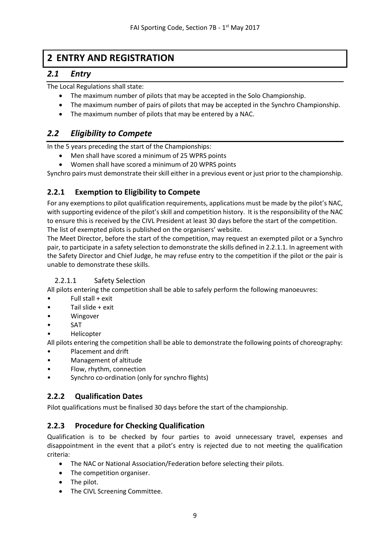# <span id="page-8-0"></span>**2 ENTRY AND REGISTRATION**

# <span id="page-8-1"></span>*2.1 Entry*

The Local Regulations shall state:

- The maximum number of pilots that may be accepted in the Solo Championship.
- The maximum number of pairs of pilots that may be accepted in the Synchro Championship.
- The maximum number of pilots that may be entered by a NAC.

# <span id="page-8-2"></span>*2.2 Eligibility to Compete*

In the 5 years preceding the start of the Championships:

- Men shall have scored a minimum of 25 WPRS points
- Women shall have scored a minimum of 20 WPRS points

Synchro pairs must demonstrate their skill either in a previous event or just prior to the championship.

# <span id="page-8-3"></span>**2.2.1 Exemption to Eligibility to Compete**

For any exemptions to pilot qualification requirements, applications must be made by the pilot's NAC, with supporting evidence of the pilot's skill and competition history. It is the responsibility of the NAC to ensure this is received by the CIVL President at least 30 days before the start of the competition. The list of exempted pilots is published on the organisers' website.

The Meet Director, before the start of the competition, may request an exempted pilot or a Synchro pair, to participate in a safety selection to demonstrate the skills defined in 2.2.1.1. In agreement with the Safety Director and Chief Judge, he may refuse entry to the competition if the pilot or the pair is unable to demonstrate these skills.

# <span id="page-8-4"></span>2.2.1.1 Safety Selection

All pilots entering the competition shall be able to safely perform the following manoeuvres:

- Full stall + exit
- Tail slide + exit
- Wingover
- **SAT**
- Helicopter

All pilots entering the competition shall be able to demonstrate the following points of choreography:

- Placement and drift
- Management of altitude
- Flow, rhythm, connection
- Synchro co-ordination (only for synchro flights)

# <span id="page-8-5"></span>**2.2.2 Qualification Dates**

Pilot qualifications must be finalised 30 days before the start of the championship.

# <span id="page-8-6"></span>**2.2.3 Procedure for Checking Qualification**

Qualification is to be checked by four parties to avoid unnecessary travel, expenses and disappointment in the event that a pilot's entry is rejected due to not meeting the qualification criteria:

- The NAC or National Association/Federation before selecting their pilots.
- The competition organiser.
- The pilot.
- The CIVL Screening Committee.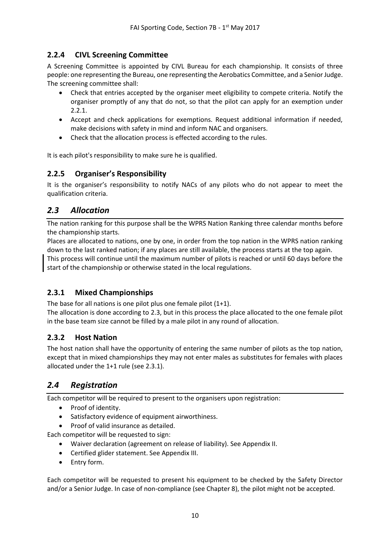# <span id="page-9-0"></span>**2.2.4 CIVL Screening Committee**

A Screening Committee is appointed by CIVL Bureau for each championship. It consists of three people: one representing the Bureau, one representing the Aerobatics Committee, and a Senior Judge. The screening committee shall:

- Check that entries accepted by the organiser meet eligibility to compete criteria. Notify the organiser promptly of any that do not, so that the pilot can apply for an exemption under 2.2.1.
- Accept and check applications for exemptions. Request additional information if needed, make decisions with safety in mind and inform NAC and organisers.
- Check that the allocation process is effected according to the rules.

It is each pilot's responsibility to make sure he is qualified.

## <span id="page-9-1"></span>**2.2.5 Organiser's Responsibility**

It is the organiser's responsibility to notify NACs of any pilots who do not appear to meet the qualification criteria.

# <span id="page-9-2"></span>*2.3 Allocation*

The nation ranking for this purpose shall be the WPRS Nation Ranking three calendar months before the championship starts.

Places are allocated to nations, one by one, in order from the top nation in the WPRS nation ranking down to the last ranked nation; if any places are still available, the process starts at the top again.

This process will continue until the maximum number of pilots is reached or until 60 days before the start of the championship or otherwise stated in the local regulations.

# <span id="page-9-3"></span>**2.3.1 Mixed Championships**

The base for all nations is one pilot plus one female pilot (1+1).

The allocation is done according to 2.3, but in this process the place allocated to the one female pilot in the base team size cannot be filled by a male pilot in any round of allocation.

### <span id="page-9-4"></span>**2.3.2 Host Nation**

The host nation shall have the opportunity of entering the same number of pilots as the top nation, except that in mixed championships they may not enter males as substitutes for females with places allocated under the 1+1 rule (see 2.3.1).

# <span id="page-9-5"></span>*2.4 Registration*

Each competitor will be required to present to the organisers upon registration:

- Proof of identity.
- Satisfactory evidence of equipment airworthiness.
- Proof of valid insurance as detailed.

Each competitor will be requested to sign:

- Waiver declaration (agreement on release of liability). See Appendix II.
- Certified glider statement. See Appendix III.
- Entry form.

Each competitor will be requested to present his equipment to be checked by the Safety Director and/or a Senior Judge. In case of non-compliance (see Chapter 8), the pilot might not be accepted.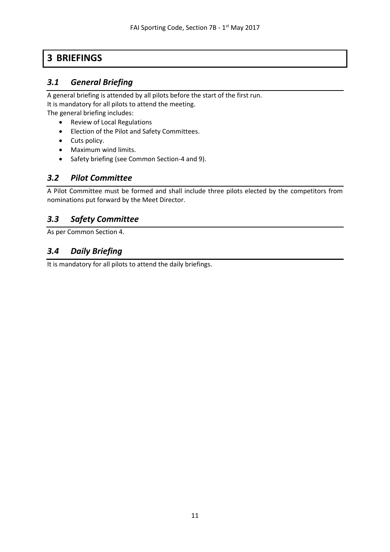# <span id="page-10-0"></span>**3 BRIEFINGS**

# <span id="page-10-1"></span>*3.1 General Briefing*

A general briefing is attended by all pilots before the start of the first run. It is mandatory for all pilots to attend the meeting.

The general briefing includes:

- Review of Local Regulations
- Election of the Pilot and Safety Committees.
- Cuts policy.
- Maximum wind limits.
- Safety briefing (see Common Section-4 and 9).

# <span id="page-10-2"></span>*3.2 Pilot Committee*

A Pilot Committee must be formed and shall include three pilots elected by the competitors from nominations put forward by the Meet Director.

# <span id="page-10-3"></span>*3.3 Safety Committee*

As per Common Section 4.

# <span id="page-10-4"></span>*3.4 Daily Briefing*

It is mandatory for all pilots to attend the daily briefings.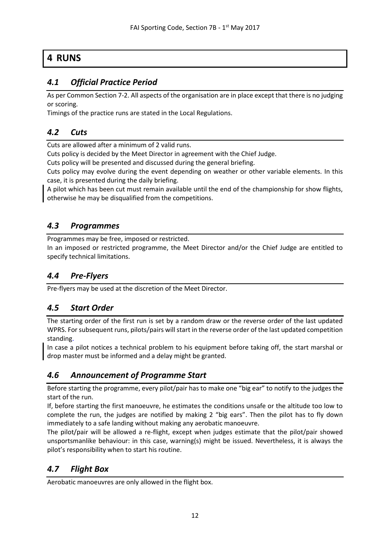# <span id="page-11-0"></span>**4 RUNS**

# <span id="page-11-1"></span>*4.1 Official Practice Period*

As per Common Section 7-2. All aspects of the organisation are in place except that there is no judging or scoring.

Timings of the practice runs are stated in the Local Regulations.

# <span id="page-11-2"></span>*4.2 Cuts*

Cuts are allowed after a minimum of 2 valid runs.

Cuts policy is decided by the Meet Director in agreement with the Chief Judge.

Cuts policy will be presented and discussed during the general briefing.

Cuts policy may evolve during the event depending on weather or other variable elements. In this case, it is presented during the daily briefing.

A pilot which has been cut must remain available until the end of the championship for show flights, otherwise he may be disqualified from the competitions.

# <span id="page-11-3"></span>*4.3 Programmes*

Programmes may be free, imposed or restricted.

In an imposed or restricted programme, the Meet Director and/or the Chief Judge are entitled to specify technical limitations.

# <span id="page-11-4"></span>*4.4 Pre-Flyers*

Pre-flyers may be used at the discretion of the Meet Director.

# <span id="page-11-5"></span>*4.5 Start Order*

The starting order of the first run is set by a random draw or the reverse order of the last updated WPRS. For subsequent runs, pilots/pairs will start in the reverse order of the last updated competition standing.

In case a pilot notices a technical problem to his equipment before taking off, the start marshal or drop master must be informed and a delay might be granted.

# <span id="page-11-6"></span>*4.6 Announcement of Programme Start*

Before starting the programme, every pilot/pair has to make one "big ear" to notify to the judges the start of the run.

If, before starting the first manoeuvre, he estimates the conditions unsafe or the altitude too low to complete the run, the judges are notified by making 2 "big ears". Then the pilot has to fly down immediately to a safe landing without making any aerobatic manoeuvre.

The pilot/pair will be allowed a re-flight, except when judges estimate that the pilot/pair showed unsportsmanlike behaviour: in this case, warning(s) might be issued. Nevertheless, it is always the pilot's responsibility when to start his routine.

# <span id="page-11-7"></span>*4.7 Flight Box*

Aerobatic manoeuvres are only allowed in the flight box.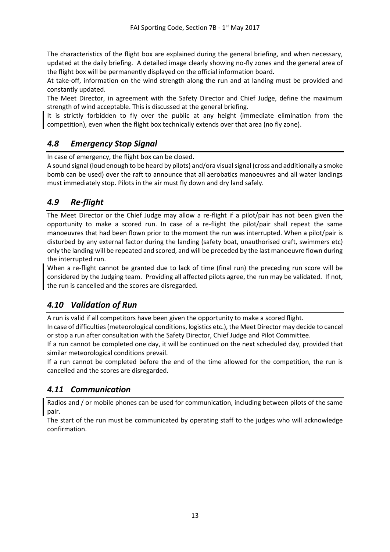The characteristics of the flight box are explained during the general briefing, and when necessary, updated at the daily briefing. A detailed image clearly showing no-fly zones and the general area of the flight box will be permanently displayed on the official information board.

At take-off, information on the wind strength along the run and at landing must be provided and constantly updated.

The Meet Director, in agreement with the Safety Director and Chief Judge, define the maximum strength of wind acceptable. This is discussed at the general briefing.

It is strictly forbidden to fly over the public at any height (immediate elimination from the competition), even when the flight box technically extends over that area (no fly zone).

# <span id="page-12-0"></span>*4.8 Emergency Stop Signal*

In case of emergency, the flight box can be closed.

A sound signal (loud enough to be heard by pilots) and/ora visual signal (cross and additionally a smoke bomb can be used) over the raft to announce that all aerobatics manoeuvres and all water landings must immediately stop. Pilots in the air must fly down and dry land safely.

# <span id="page-12-1"></span>*4.9 Re-flight*

The Meet Director or the Chief Judge may allow a re-flight if a pilot/pair has not been given the opportunity to make a scored run. In case of a re-flight the pilot/pair shall repeat the same manoeuvres that had been flown prior to the moment the run was interrupted. When a pilot/pair is disturbed by any external factor during the landing (safety boat, unauthorised craft, swimmers etc) only the landing will be repeated and scored, and will be preceded by the last manoeuvre flown during the interrupted run.

When a re-flight cannot be granted due to lack of time (final run) the preceding run score will be considered by the Judging team. Providing all affected pilots agree, the run may be validated. If not, the run is cancelled and the scores are disregarded.

# <span id="page-12-2"></span>*4.10 Validation of Run*

A run is valid if all competitors have been given the opportunity to make a scored flight.

In case of difficulties (meteorological conditions, logistics etc.), the Meet Director may decide to cancel or stop a run after consultation with the Safety Director, Chief Judge and Pilot Committee.

If a run cannot be completed one day, it will be continued on the next scheduled day, provided that similar meteorological conditions prevail.

If a run cannot be completed before the end of the time allowed for the competition, the run is cancelled and the scores are disregarded.

# <span id="page-12-3"></span>*4.11 Communication*

Radios and / or mobile phones can be used for communication, including between pilots of the same pair.

The start of the run must be communicated by operating staff to the judges who will acknowledge confirmation.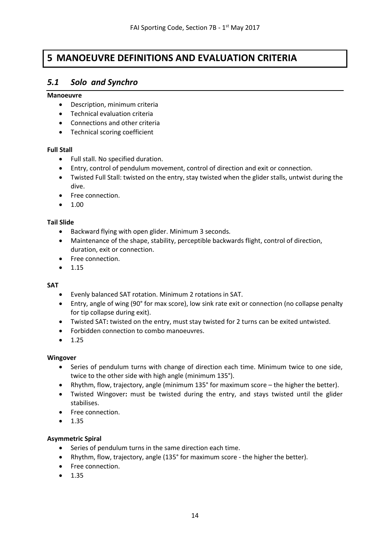# <span id="page-13-0"></span>**5 MANOEUVRE DEFINITIONS AND EVALUATION CRITERIA**

# <span id="page-13-1"></span>*5.1 Solo and Synchro*

#### **Manoeuvre**

- Description, minimum criteria
- Technical evaluation criteria
- Connections and other criteria
- Technical scoring coefficient

### **Full Stall**

- Full stall. No specified duration.
- Entry, control of pendulum movement, control of direction and exit or connection.
- Twisted Full Stall: twisted on the entry, stay twisted when the glider stalls, untwist during the dive.
- Free connection.
- $1.00$

### **Tail Slide**

- Backward flying with open glider. Minimum 3 seconds.
- Maintenance of the shape, stability, perceptible backwards flight, control of direction, duration, exit or connection.
- Free connection.
- 1.15

### **SAT**

- Evenly balanced SAT rotation. Minimum 2 rotations in SAT.
- Entry, angle of wing (90° for max score), low sink rate exit or connection (no collapse penalty for tip collapse during exit).
- Twisted SAT**:** twisted on the entry, must stay twisted for 2 turns can be exited untwisted.
- Forbidden connection to combo manoeuvres.
- 1.25

### **Wingover**

- Series of pendulum turns with change of direction each time. Minimum twice to one side, twice to the other side with high angle (minimum 135°).
- Rhythm, flow, trajectory, angle (minimum 135° for maximum score the higher the better).
- Twisted Wingover**:** must be twisted during the entry, and stays twisted until the glider stabilises.
- Free connection.
- 1.35

### **Asymmetric Spiral**

- Series of pendulum turns in the same direction each time.
- Rhythm, flow, trajectory, angle (135° for maximum score the higher the better).
- Free connection.
- 1.35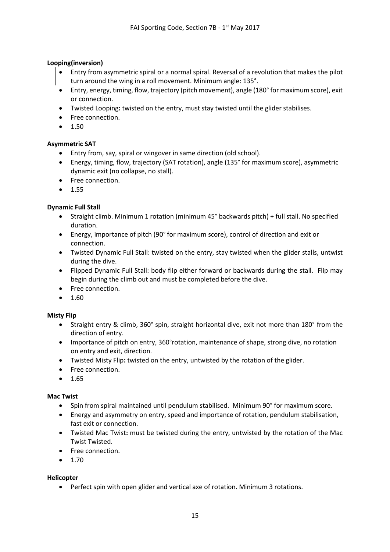### **Looping(inversion)**

- Entry from asymmetric spiral or a normal spiral. Reversal of a revolution that makes the pilot turn around the wing in a roll movement. Minimum angle: 135°.
- Entry, energy, timing, flow, trajectory (pitch movement), angle (180° for maximum score), exit or connection.
- Twisted Looping**:** twisted on the entry, must stay twisted until the glider stabilises.
- Free connection.
- 1.50

### **Asymmetric SAT**

- Entry from, say, spiral or wingover in same direction (old school).
- Energy, timing, flow, trajectory (SAT rotation), angle (135° for maximum score), asymmetric dynamic exit (no collapse, no stall).
- Free connection.
- 1.55

### **Dynamic Full Stall**

- Straight climb. Minimum 1 rotation (minimum 45° backwards pitch) + full stall. No specified duration.
- Energy, importance of pitch (90° for maximum score), control of direction and exit or connection.
- Twisted Dynamic Full Stall: twisted on the entry, stay twisted when the glider stalls, untwist during the dive.
- Flipped Dynamic Full Stall: body flip either forward or backwards during the stall. Flip may begin during the climb out and must be completed before the dive.
- Free connection.
- $1.60$

### **Misty Flip**

- Straight entry & climb, 360° spin, straight horizontal dive, exit not more than 180° from the direction of entry.
- Importance of pitch on entry, 360°rotation, maintenance of shape, strong dive, no rotation on entry and exit, direction.
- Twisted Misty Flip**:** twisted on the entry, untwisted by the rotation of the glider.
- Free connection.
- 1.65

### **Mac Twist**

- Spin from spiral maintained until pendulum stabilised. Minimum 90° for maximum score.
- Energy and asymmetry on entry, speed and importance of rotation, pendulum stabilisation, fast exit or connection.
- Twisted Mac Twist**:** must be twisted during the entry, untwisted by the rotation of the Mac Twist Twisted.
- Free connection.
- 1.70

### **Helicopter**

• Perfect spin with open glider and vertical axe of rotation. Minimum 3 rotations.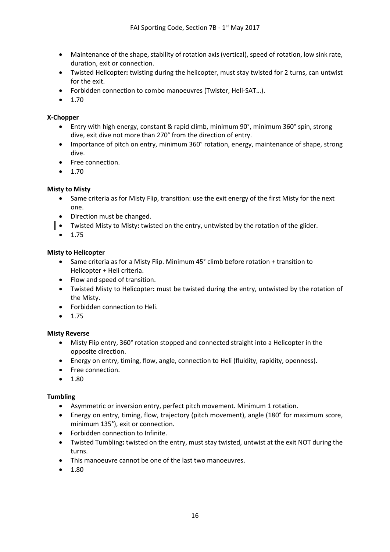- Maintenance of the shape, stability of rotation axis (vertical), speed of rotation, low sink rate, duration, exit or connection.
- Twisted Helicopter**:** twisting during the helicopter, must stay twisted for 2 turns, can untwist for the exit.
- Forbidden connection to combo manoeuvres (Twister, Heli-SAT…).
- 1.70

### **X-Chopper**

- Entry with high energy, constant & rapid climb, minimum 90°, minimum 360° spin, strong dive, exit dive not more than 270° from the direction of entry.
- Importance of pitch on entry, minimum 360° rotation, energy, maintenance of shape, strong dive.
- Free connection.
- $1.70$

### **Misty to Misty**

- Same criteria as for Misty Flip, transition: use the exit energy of the first Misty for the next one.
- Direction must be changed.
- Twisted Misty to Misty**:** twisted on the entry, untwisted by the rotation of the glider.
- 1.75

### **Misty to Helicopter**

- Same criteria as for a Misty Flip. Minimum 45° climb before rotation + transition to Helicopter + Heli criteria.
- Flow and speed of transition.
- Twisted Misty to Helicopter**:** must be twisted during the entry, untwisted by the rotation of the Misty.
- Forbidden connection to Heli.
- 1.75

#### **Misty Reverse**

- Misty Flip entry, 360° rotation stopped and connected straight into a Helicopter in the opposite direction.
- Energy on entry, timing, flow, angle, connection to Heli (fluidity, rapidity, openness).
- Free connection.
- 1.80

#### **Tumbling**

- Asymmetric or inversion entry, perfect pitch movement. Minimum 1 rotation.
- Energy on entry, timing, flow, trajectory (pitch movement), angle (180° for maximum score, minimum 135°), exit or connection.
- Forbidden connection to Infinite.
- Twisted Tumbling**:** twisted on the entry, must stay twisted, untwist at the exit NOT during the turns.
- This manoeuvre cannot be one of the last two manoeuvres.
- 1.80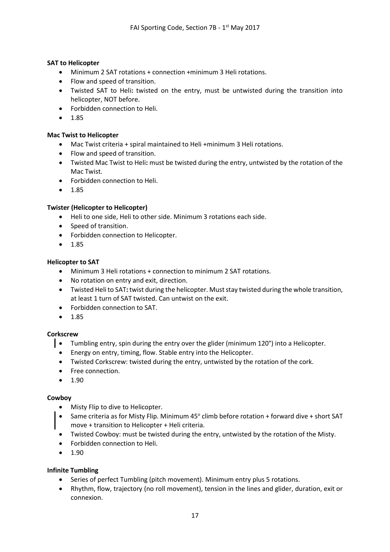### **SAT to Helicopter**

- Minimum 2 SAT rotations + connection +minimum 3 Heli rotations.
- Flow and speed of transition.
- Twisted SAT to Heli**:** twisted on the entry, must be untwisted during the transition into helicopter, NOT before.
- Forbidden connection to Heli.
- 1.85

### **Mac Twist to Helicopter**

- Mac Twist criteria + spiral maintained to Heli +minimum 3 Heli rotations.
- Flow and speed of transition.
- Twisted Mac Twist to Heli**:** must be twisted during the entry, untwisted by the rotation of the Mac Twist.
- Forbidden connection to Heli.
- 1.85

### **Twister (Helicopter to Helicopter)**

- Heli to one side, Heli to other side. Minimum 3 rotations each side.
- Speed of transition.
- Forbidden connection to Helicopter.
- 1.85

### **Helicopter to SAT**

- Minimum 3 Heli rotations + connection to minimum 2 SAT rotations.
- No rotation on entry and exit, direction.
- Twisted Heli to SAT**:** twist during the helicopter. Must stay twisted during the whole transition, at least 1 turn of SAT twisted. Can untwist on the exit.
- Forbidden connection to SAT.
- 1.85

### **Corkscrew**

- Tumbling entry, spin during the entry over the glider (minimum 120°) into a Helicopter.
- Energy on entry, timing, flow. Stable entry into the Helicopter.
- Twisted Corkscrew: twisted during the entry, untwisted by the rotation of the cork.
- Free connection.
- $1.90$

### **Cowboy**

- Misty Flip to dive to Helicopter.
- Same criteria as for Misty Flip. Minimum 45° climb before rotation + forward dive + short SAT move + transition to Helicopter + Heli criteria.
- Twisted Cowboy: must be twisted during the entry, untwisted by the rotation of the Misty.
- Forbidden connection to Heli.
- 1.90

### **Infinite Tumbling**

- Series of perfect Tumbling (pitch movement). Minimum entry plus 5 rotations.
- Rhythm, flow, trajectory (no roll movement), tension in the lines and glider, duration, exit or connexion.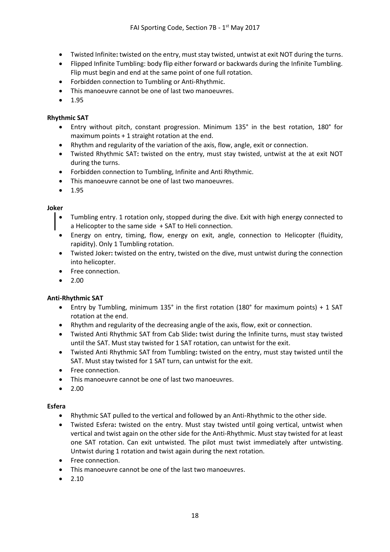- Twisted Infinite**:** twisted on the entry, must stay twisted, untwist at exit NOT during the turns.
- Flipped Infinite Tumbling: body flip either forward or backwards during the Infinite Tumbling. Flip must begin and end at the same point of one full rotation.
- Forbidden connection to Tumbling or Anti-Rhythmic.
- This manoeuvre cannot be one of last two manoeuvres.
- 1.95

### **Rhythmic SAT**

- Entry without pitch, constant progression. Minimum 135° in the best rotation, 180° for maximum points + 1 straight rotation at the end.
- Rhythm and regularity of the variation of the axis, flow, angle, exit or connection.
- Twisted Rhythmic SAT**:** twisted on the entry, must stay twisted, untwist at the at exit NOT during the turns.
- Forbidden connection to Tumbling, Infinite and Anti Rhythmic.
- This manoeuvre cannot be one of last two manoeuvres.
- 1.95

### **Joker**

- Tumbling entry. 1 rotation only, stopped during the dive. Exit with high energy connected to a Helicopter to the same side + SAT to Heli connection.
- Energy on entry, timing, flow, energy on exit, angle, connection to Helicopter (fluidity, rapidity). Only 1 Tumbling rotation.
- Twisted Joker**:** twisted on the entry, twisted on the dive, must untwist during the connection into helicopter.
- Free connection.
- $2.00$

### **Anti-Rhythmic SAT**

- Entry by Tumbling, minimum 135° in the first rotation (180° for maximum points) + 1 SAT rotation at the end.
- Rhythm and regularity of the decreasing angle of the axis, flow, exit or connection.
- Twisted Anti Rhythmic SAT from Cab Slide**:** twist during the Infinite turns, must stay twisted until the SAT. Must stay twisted for 1 SAT rotation, can untwist for the exit.
- Twisted Anti Rhythmic SAT from Tumbling**:** twisted on the entry, must stay twisted until the SAT. Must stay twisted for 1 SAT turn, can untwist for the exit.
- Free connection.
- This manoeuvre cannot be one of last two manoeuvres.
- 2.00

#### **Esfera**

- Rhythmic SAT pulled to the vertical and followed by an Anti-Rhythmic to the other side.
- Twisted Esfera**:** twisted on the entry. Must stay twisted until going vertical, untwist when vertical and twist again on the other side for the Anti-Rhythmic. Must stay twisted for at least one SAT rotation. Can exit untwisted. The pilot must twist immediately after untwisting. Untwist during 1 rotation and twist again during the next rotation.
- Free connection.
- This manoeuvre cannot be one of the last two manoeuvres.
- $2.10$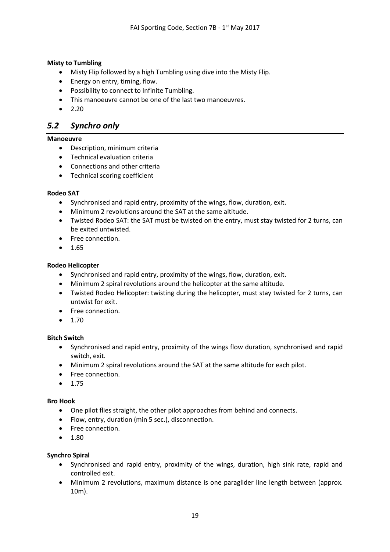### **Misty to Tumbling**

- Misty Flip followed by a high Tumbling using dive into the Misty Flip.
- Energy on entry, timing, flow.
- Possibility to connect to Infinite Tumbling.
- This manoeuvre cannot be one of the last two manoeuvres.
- $2.20$

# <span id="page-18-0"></span>*5.2 Synchro only*

### **Manoeuvre**

- Description, minimum criteria
- Technical evaluation criteria
- Connections and other criteria
- Technical scoring coefficient

### **Rodeo SAT**

- Synchronised and rapid entry, proximity of the wings, flow, duration, exit.
- Minimum 2 revolutions around the SAT at the same altitude.
- Twisted Rodeo SAT: the SAT must be twisted on the entry, must stay twisted for 2 turns, can be exited untwisted.
- Free connection.
- 1.65

### **Rodeo Helicopter**

- Synchronised and rapid entry, proximity of the wings, flow, duration, exit.
- Minimum 2 spiral revolutions around the helicopter at the same altitude.
- Twisted Rodeo Helicopter: twisting during the helicopter, must stay twisted for 2 turns, can untwist for exit.
- Free connection.
- $1.70$

### **Bitch Switch**

- Synchronised and rapid entry, proximity of the wings flow duration, synchronised and rapid switch, exit.
- Minimum 2 spiral revolutions around the SAT at the same altitude for each pilot.
- Free connection.
- 1.75

#### **Bro Hook**

- One pilot flies straight, the other pilot approaches from behind and connects.
- Flow, entry, duration (min 5 sec.), disconnection.
- Free connection.
- 1.80

### **Synchro Spiral**

- Synchronised and rapid entry, proximity of the wings, duration, high sink rate, rapid and controlled exit.
- Minimum 2 revolutions, maximum distance is one paraglider line length between (approx. 10m).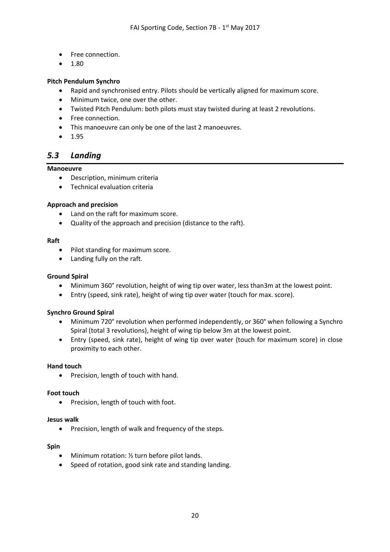- Free connection.
- $1.80$

### **Pitch Pendulum Synchro**

- Rapid and synchronised entry. Pilots should be vertically aligned for maximum score.
- Minimum twice, one over the other.
- Twisted Pitch Pendulum: both pilots must stay twisted during at least 2 revolutions.
- Free connection.
- This manoeuvre can only be one of the last 2 manoeuvres.
- 1.95

### <span id="page-19-0"></span>*5.3 Landing*

#### **Manoeuvre**

- Description, minimum criteria
- Technical evaluation criteria

#### **Approach and precision**

- Land on the raft for maximum score.
- Quality of the approach and precision (distance to the raft).

#### **Raft**

- Pilot standing for maximum score.
- Landing fully on the raft.

#### **Ground Spiral**

- Minimum 360° revolution, height of wing tip over water, less than3m at the lowest point.
- Entry (speed, sink rate), height of wing tip over water (touch for max. score).

#### **Synchro Ground Spiral**

- Minimum 720° revolution when performed independently, or 360° when following a Synchro Spiral (total 3 revolutions), height of wing tip below 3m at the lowest point.
- Entry (speed, sink rate), height of wing tip over water (touch for maximum score) in close proximity to each other.

#### **Hand touch**

• Precision, length of touch with hand.

#### **Foot touch**

• Precision, length of touch with foot.

#### **Jesus walk**

• Precision, length of walk and frequency of the steps.

#### **Spin**

- Minimum rotation: 1/2 turn before pilot lands.
- Speed of rotation, good sink rate and standing landing.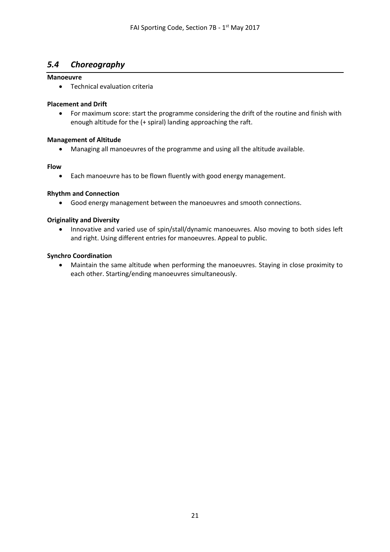# <span id="page-20-0"></span>*5.4 Choreography*

### **Manoeuvre**

• Technical evaluation criteria

### **Placement and Drift**

• For maximum score: start the programme considering the drift of the routine and finish with enough altitude for the (+ spiral) landing approaching the raft.

### **Management of Altitude**

• Managing all manoeuvres of the programme and using all the altitude available.

### **Flow**

• Each manoeuvre has to be flown fluently with good energy management.

### **Rhythm and Connection**

• Good energy management between the manoeuvres and smooth connections.

### **Originality and Diversity**

• Innovative and varied use of spin/stall/dynamic manoeuvres. Also moving to both sides left and right. Using different entries for manoeuvres. Appeal to public.

### **Synchro Coordination**

• Maintain the same altitude when performing the manoeuvres. Staying in close proximity to each other. Starting/ending manoeuvres simultaneously.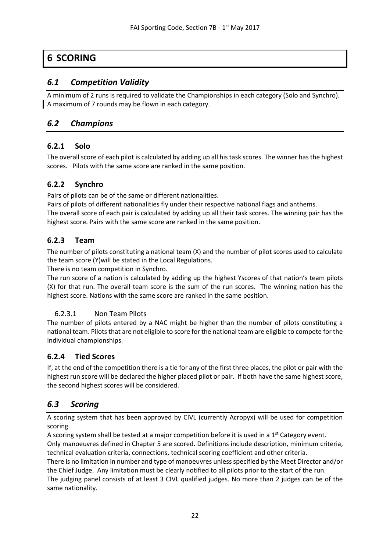# <span id="page-21-0"></span>**6 SCORING**

# <span id="page-21-1"></span>*6.1 Competition Validity*

A minimum of 2 runs is required to validate the Championships in each category (Solo and Synchro). A maximum of 7 rounds may be flown in each category.

# <span id="page-21-2"></span>*6.2 Champions*

## <span id="page-21-3"></span>**6.2.1 Solo**

The overall score of each pilot is calculated by adding up all his task scores. The winner has the highest scores. Pilots with the same score are ranked in the same position.

## <span id="page-21-4"></span>**6.2.2 Synchro**

Pairs of pilots can be of the same or different nationalities.

highest score. Pairs with the same score are ranked in the same position.

Pairs of pilots of different nationalities fly under their respective national flags and anthems. The overall score of each pair is calculated by adding up all their task scores. The winning pair has the

# <span id="page-21-5"></span>**6.2.3 Team**

The number of pilots constituting a national team (X) and the number of pilot scores used to calculate the team score (Y)will be stated in the Local Regulations.

There is no team competition in Synchro.

The run score of a nation is calculated by adding up the highest Yscores of that nation's team pilots (X) for that run. The overall team score is the sum of the run scores. The winning nation has the highest score. Nations with the same score are ranked in the same position.

### <span id="page-21-6"></span>6.2.3.1 Non Team Pilots

The number of pilots entered by a NAC might be higher than the number of pilots constituting a national team. Pilots that are not eligible to score for the national team are eligible to compete for the individual championships.

# <span id="page-21-7"></span>**6.2.4 Tied Scores**

If, at the end of the competition there is a tie for any of the first three places, the pilot or pair with the highest run score will be declared the higher placed pilot or pair. If both have the same highest score, the second highest scores will be considered.

# <span id="page-21-8"></span>*6.3 Scoring*

A scoring system that has been approved by CIVL (currently Acropyx) will be used for competition scoring.

A scoring system shall be tested at a major competition before it is used in a 1<sup>st</sup> Category event. Only manoeuvres defined in Chapter 5 are scored. Definitions include description, minimum criteria, technical evaluation criteria, connections, technical scoring coefficient and other criteria. There is no limitation in number and type of manoeuvres unless specified by the Meet Director and/or the Chief Judge. Any limitation must be clearly notified to all pilots prior to the start of the run. The judging panel consists of at least 3 CIVL qualified judges. No more than 2 judges can be of the same nationality.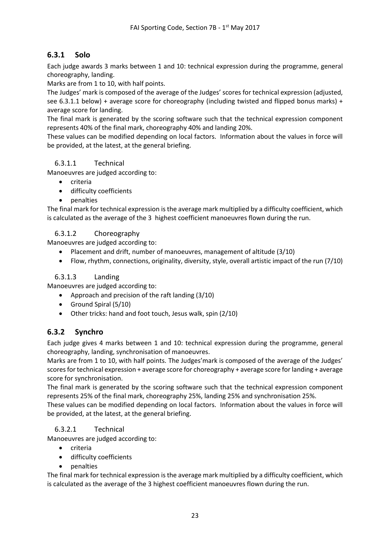# <span id="page-22-0"></span>**6.3.1 Solo**

Each judge awards 3 marks between 1 and 10: technical expression during the programme, general choreography, landing.

Marks are from 1 to 10, with half points.

The Judges' mark is composed of the average of the Judges' scores for technical expression (adjusted, see 6.3.1.1 below) + average score for choreography (including twisted and flipped bonus marks) + average score for landing.

The final mark is generated by the scoring software such that the technical expression component represents 40% of the final mark, choreography 40% and landing 20%.

These values can be modified depending on local factors. Information about the values in force will be provided, at the latest, at the general briefing.

### <span id="page-22-1"></span>6.3.1.1 Technical

Manoeuvres are judged according to:

- criteria
- difficulty coefficients
- penalties

The final mark for technical expression is the average mark multiplied by a difficulty coefficient, which is calculated as the average of the 3 highest coefficient manoeuvres flown during the run.

### <span id="page-22-2"></span>6.3.1.2 Choreography

Manoeuvres are judged according to:

- Placement and drift, number of manoeuvres, management of altitude (3/10)
- Flow, rhythm, connections, originality, diversity, style, overall artistic impact of the run (7/10)

### <span id="page-22-3"></span>6.3.1.3 Landing

Manoeuvres are judged according to:

- Approach and precision of the raft landing (3/10)
- Ground Spiral (5/10)
- Other tricks: hand and foot touch, Jesus walk, spin (2/10)

### <span id="page-22-4"></span>**6.3.2 Synchro**

Each judge gives 4 marks between 1 and 10: technical expression during the programme, general choreography, landing, synchronisation of manoeuvres.

Marks are from 1 to 10, with half points. The Judges'mark is composed of the average of the Judges' scores for technical expression + average score for choreography + average score for landing + average score for synchronisation.

The final mark is generated by the scoring software such that the technical expression component represents 25% of the final mark, choreography 25%, landing 25% and synchronisation 25%.

These values can be modified depending on local factors. Information about the values in force will be provided, at the latest, at the general briefing.

### <span id="page-22-5"></span>6.3.2.1 Technical

Manoeuvres are judged according to:

- criteria
- difficulty coefficients
- penalties

The final mark for technical expression is the average mark multiplied by a difficulty coefficient, which is calculated as the average of the 3 highest coefficient manoeuvres flown during the run.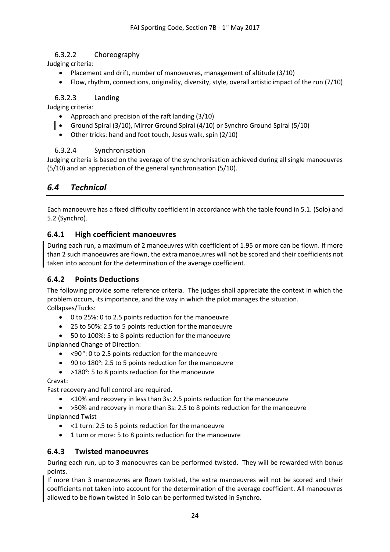### <span id="page-23-0"></span>6.3.2.2 Choreography

Judging criteria:

- Placement and drift, number of manoeuvres, management of altitude (3/10)
- Flow, rhythm, connections, originality, diversity, style, overall artistic impact of the run (7/10)

### <span id="page-23-1"></span>6.3.2.3 Landing

Judging criteria:

- Approach and precision of the raft landing (3/10)
- Ground Spiral (3/10), Mirror Ground Spiral (4/10) or Synchro Ground Spiral (5/10)
- Other tricks: hand and foot touch, Jesus walk, spin (2/10)

### <span id="page-23-2"></span>6.3.2.4 Synchronisation

Judging criteria is based on the average of the synchronisation achieved during all single manoeuvres (5/10) and an appreciation of the general synchronisation (5/10).

# <span id="page-23-3"></span>*6.4 Technical*

Each manoeuvre has a fixed difficulty coefficient in accordance with the table found in 5.1. (Solo) and 5.2 (Synchro).

### <span id="page-23-4"></span>**6.4.1 High coefficient manoeuvres**

During each run, a maximum of 2 manoeuvres with coefficient of 1.95 or more can be flown. If more than 2 such manoeuvres are flown, the extra manoeuvres will not be scored and their coefficients not taken into account for the determination of the average coefficient.

### <span id="page-23-5"></span>**6.4.2 Points Deductions**

The following provide some reference criteria. The judges shall appreciate the context in which the problem occurs, its importance, and the way in which the pilot manages the situation. Collapses/Tucks:

- 0 to 25%: 0 to 2.5 points reduction for the manoeuvre
- 25 to 50%: 2.5 to 5 points reduction for the manoeuvre
- 50 to 100%: 5 to 8 points reduction for the manoeuvre

Unplanned Change of Direction:

- < 90°: 0 to 2.5 points reduction for the manoeuvre
- 90 to 180°: 2.5 to 5 points reduction for the manoeuvre
- >180°: 5 to 8 points reduction for the manoeuvre

### Cravat:

Fast recovery and full control are required.

• <10% and recovery in less than 3s: 2.5 points reduction for the manoeuvre

• >50% and recovery in more than 3s: 2.5 to 8 points reduction for the manoeuvre Unplanned Twist

- <1 turn: 2.5 to 5 points reduction for the manoeuvre
- 1 turn or more: 5 to 8 points reduction for the manoeuvre

### <span id="page-23-6"></span>**6.4.3 Twisted manoeuvres**

During each run, up to 3 manoeuvres can be performed twisted. They will be rewarded with bonus points.

If more than 3 manoeuvres are flown twisted, the extra manoeuvres will not be scored and their coefficients not taken into account for the determination of the average coefficient. All manoeuvres allowed to be flown twisted in Solo can be performed twisted in Synchro.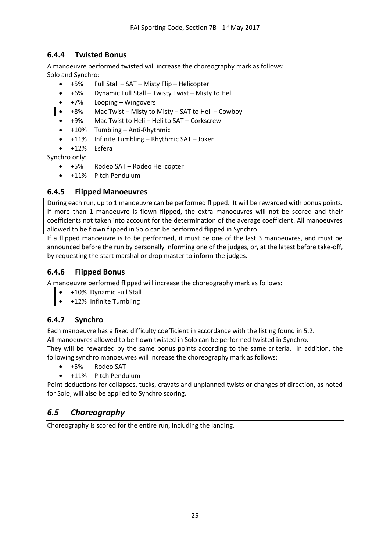# <span id="page-24-0"></span>**6.4.4 Twisted Bonus**

A manoeuvre performed twisted will increase the choreography mark as follows: Solo and Synchro:

- +5% Full Stall SAT Misty Flip Helicopter
- +6% Dynamic Full Stall Twisty Twist Misty to Heli
- +7% Looping Wingovers
- +8% Mac Twist Misty to Misty SAT to Heli Cowboy
- +9% Mac Twist to Heli Heli to SAT Corkscrew
- $\bullet$  +10% Tumbling Anti-Rhythmic
- +11% Infinite Tumbling Rhythmic SAT Joker
- +12% Esfera

Synchro only:

- +5% Rodeo SAT Rodeo Helicopter
- +11% Pitch Pendulum

## <span id="page-24-1"></span>**6.4.5 Flipped Manoeuvres**

During each run, up to 1 manoeuvre can be performed flipped. It will be rewarded with bonus points. If more than 1 manoeuvre is flown flipped, the extra manoeuvres will not be scored and their coefficients not taken into account for the determination of the average coefficient. All manoeuvres allowed to be flown flipped in Solo can be performed flipped in Synchro.

If a flipped manoeuvre is to be performed, it must be one of the last 3 manoeuvres, and must be announced before the run by personally informing one of the judges, or, at the latest before take-off, by requesting the start marshal or drop master to inform the judges.

### <span id="page-24-2"></span>**6.4.6 Flipped Bonus**

A manoeuvre performed flipped will increase the choreography mark as follows:

- +10% Dynamic Full Stall
- +12% Infinite Tumbling

# <span id="page-24-3"></span>**6.4.7 Synchro**

Each manoeuvre has a fixed difficulty coefficient in accordance with the listing found in 5.2.

All manoeuvres allowed to be flown twisted in Solo can be performed twisted in Synchro.

They will be rewarded by the same bonus points according to the same criteria. In addition, the following synchro manoeuvres will increase the choreography mark as follows:

- +5% Rodeo SAT
- +11% Pitch Pendulum

Point deductions for collapses, tucks, cravats and unplanned twists or changes of direction, as noted for Solo, will also be applied to Synchro scoring.

# <span id="page-24-4"></span>*6.5 Choreography*

Choreography is scored for the entire run, including the landing.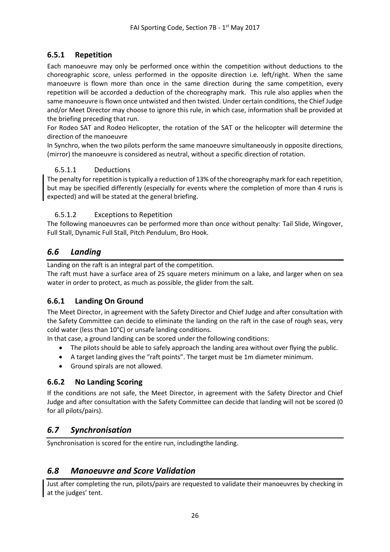# <span id="page-25-0"></span>**6.5.1 Repetition**

Each manoeuvre may only be performed once within the competition without deductions to the choreographic score, unless performed in the opposite direction i.e. left/right. When the same manoeuvre is flown more than once in the same direction during the same competition, every repetition will be accorded a deduction of the choreography mark. This rule also applies when the same manoeuvre is flown once untwisted and then twisted. Under certain conditions, the Chief Judge and/or Meet Director may choose to ignore this rule, in which case, information shall be provided at the briefing preceding that run.

For Rodeo SAT and Rodeo Helicopter, the rotation of the SAT or the helicopter will determine the direction of the manoeuvre

In Synchro, when the two pilots perform the same manoeuvre simultaneously in opposite directions, (mirror) the manoeuvre is considered as neutral, without a specific direction of rotation.

### <span id="page-25-1"></span>6.5.1.1 Deductions

The penalty for repetition is typically a reduction of 13% of the choreography mark for each repetition, but may be specified differently (especially for events where the completion of more than 4 runs is expected) and will be stated at the general briefing.

### <span id="page-25-2"></span>6.5.1.2 Exceptions to Repetition

The following manoeuvres can be performed more than once without penalty: Tail Slide, Wingover, Full Stall, Dynamic Full Stall, Pitch Pendulum, Bro Hook.

# <span id="page-25-3"></span>*6.6 Landing*

Landing on the raft is an integral part of the competition.

The raft must have a surface area of 25 square meters minimum on a lake, and larger when on sea water in order to protect, as much as possible, the glider from the salt.

### <span id="page-25-4"></span>**6.6.1 Landing On Ground**

The Meet Director, in agreement with the Safety Director and Chief Judge and after consultation with the Safety Committee can decide to eliminate the landing on the raft in the case of rough seas, very cold water (less than 10°C) or unsafe landing conditions.

In that case, a ground landing can be scored under the following conditions:

- The pilots should be able to safely approach the landing area without over flying the public.
- A target landing gives the "raft points". The target must be 1m diameter minimum.
- Ground spirals are not allowed.

### <span id="page-25-5"></span>**6.6.2 No Landing Scoring**

If the conditions are not safe, the Meet Director, in agreement with the Safety Director and Chief Judge and after consultation with the Safety Committee can decide that landing will not be scored (0 for all pilots/pairs).

# <span id="page-25-6"></span>*6.7 Synchronisation*

Synchronisation is scored for the entire run, includingthe landing.

# <span id="page-25-7"></span>*6.8 Manoeuvre and Score Validation*

Just after completing the run, pilots/pairs are requested to validate their manoeuvres by checking in at the judges' tent.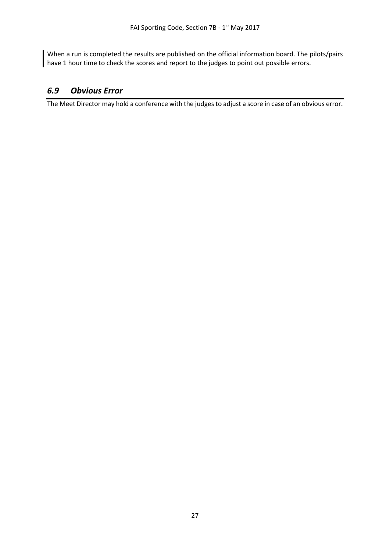When a run is completed the results are published on the official information board. The pilots/pairs have 1 hour time to check the scores and report to the judges to point out possible errors.

# <span id="page-26-0"></span>*6.9 Obvious Error*

The Meet Director may hold a conference with the judges to adjust a score in case of an obvious error.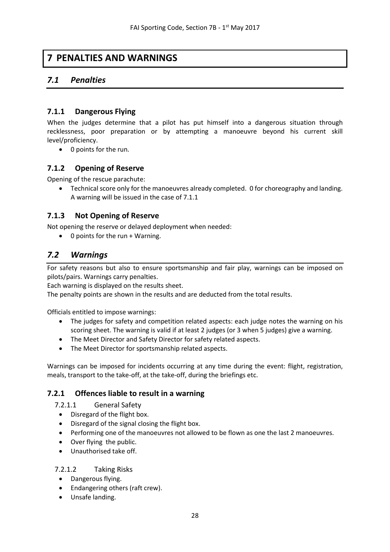# <span id="page-27-0"></span>**7 PENALTIES AND WARNINGS**

# <span id="page-27-1"></span>*7.1 Penalties*

### <span id="page-27-2"></span>**7.1.1 Dangerous Flying**

When the judges determine that a pilot has put himself into a dangerous situation through recklessness, poor preparation or by attempting a manoeuvre beyond his current skill level/proficiency.

• 0 points for the run.

## <span id="page-27-3"></span>**7.1.2 Opening of Reserve**

Opening of the rescue parachute:

• Technical score only for the manoeuvres already completed. 0 for choreography and landing. A warning will be issued in the case of 7.1.1

## <span id="page-27-4"></span>**7.1.3 Not Opening of Reserve**

Not opening the reserve or delayed deployment when needed:

• 0 points for the run + Warning.

# <span id="page-27-5"></span>*7.2 Warnings*

For safety reasons but also to ensure sportsmanship and fair play, warnings can be imposed on pilots/pairs. Warnings carry penalties.

Each warning is displayed on the results sheet.

The penalty points are shown in the results and are deducted from the total results.

Officials entitled to impose warnings:

- The judges for safety and competition related aspects: each judge notes the warning on his scoring sheet. The warning is valid if at least 2 judges (or 3 when 5 judges) give a warning.
- The Meet Director and Safety Director for safety related aspects.
- The Meet Director for sportsmanship related aspects.

Warnings can be imposed for incidents occurring at any time during the event: flight, registration, meals, transport to the take-off, at the take-off, during the briefings etc.

### <span id="page-27-6"></span>**7.2.1 Offences liable to result in a warning**

<span id="page-27-7"></span>7.2.1.1 General Safety

- Disregard of the flight box.
- Disregard of the signal closing the flight box.
- Performing one of the manoeuvres not allowed to be flown as one the last 2 manoeuvres.
- Over flying the public.
- Unauthorised take off.

### <span id="page-27-8"></span>7.2.1.2 Taking Risks

- Dangerous flying.
- Endangering others (raft crew).
- Unsafe landing.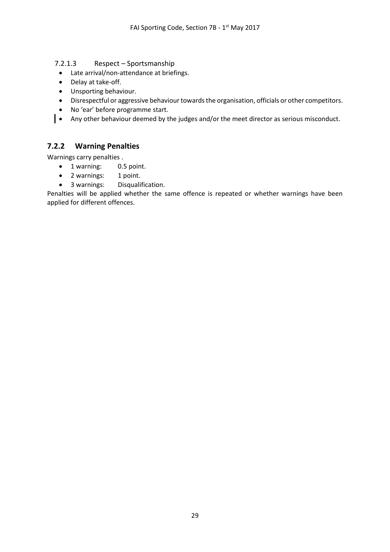<span id="page-28-0"></span>7.2.1.3 Respect – Sportsmanship

- Late arrival/non-attendance at briefings.
- Delay at take-off.
- Unsporting behaviour.
- Disrespectful or aggressive behaviour towards the organisation, officials or other competitors.
- No 'ear' before programme start.
- Any other behaviour deemed by the judges and/or the meet director as serious misconduct.

## <span id="page-28-1"></span>**7.2.2 Warning Penalties**

Warnings carry penalties .

- 1 warning: 0.5 point.
- 2 warnings: 1 point.
- 3 warnings: Disqualification.

Penalties will be applied whether the same offence is repeated or whether warnings have been applied for different offences.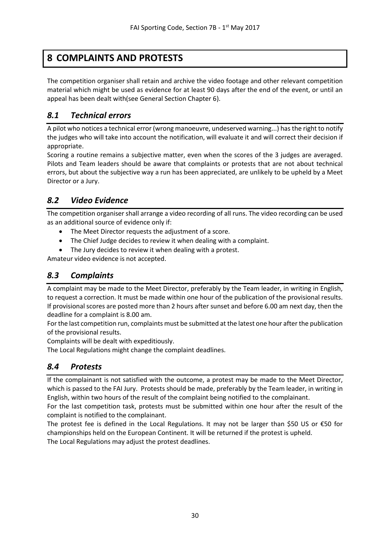# <span id="page-29-0"></span>**8 COMPLAINTS AND PROTESTS**

The competition organiser shall retain and archive the video footage and other relevant competition material which might be used as evidence for at least 90 days after the end of the event, or until an appeal has been dealt with(see General Section Chapter 6).

# <span id="page-29-1"></span>*8.1 Technical errors*

A pilot who notices a technical error (wrong manoeuvre, undeserved warning...) hasthe right to notify the judges who will take into account the notification, will evaluate it and will correct their decision if appropriate.

Scoring a routine remains a subjective matter, even when the scores of the 3 judges are averaged. Pilots and Team leaders should be aware that complaints or protests that are not about technical errors, but about the subjective way a run has been appreciated, are unlikely to be upheld by a Meet Director or a Jury.

# <span id="page-29-2"></span>*8.2 Video Evidence*

The competition organiser shall arrange a video recording of all runs. The video recording can be used as an additional source of evidence only if:

- The Meet Director requests the adjustment of a score.
- The Chief Judge decides to review it when dealing with a complaint.
- The Jury decides to review it when dealing with a protest.

Amateur video evidence is not accepted.

# <span id="page-29-3"></span>*8.3 Complaints*

A complaint may be made to the Meet Director, preferably by the Team leader, in writing in English, to request a correction. It must be made within one hour of the publication of the provisional results. If provisional scores are posted more than 2 hours after sunset and before 6.00 am next day, then the deadline for a complaint is 8.00 am.

For the last competition run, complaints must be submitted at the latest one hour after the publication of the provisional results.

Complaints will be dealt with expeditiously.

The Local Regulations might change the complaint deadlines.

# <span id="page-29-4"></span>*8.4 Protests*

If the complainant is not satisfied with the outcome, a protest may be made to the Meet Director, which is passed to the FAI Jury. Protests should be made, preferably by the Team leader, in writing in English, within two hours of the result of the complaint being notified to the complainant.

For the last competition task, protests must be submitted within one hour after the result of the complaint is notified to the complainant.

The protest fee is defined in the Local Regulations. It may not be larger than \$50 US or  $\epsilon$ 50 for championships held on the European Continent. It will be returned if the protest is upheld. The Local Regulations may adjust the protest deadlines.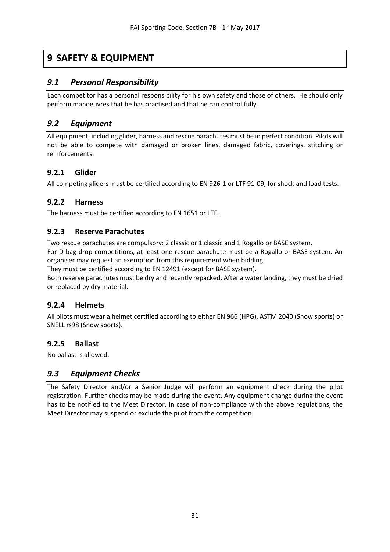# <span id="page-30-0"></span>**9 SAFETY & EQUIPMENT**

# <span id="page-30-1"></span>*9.1 Personal Responsibility*

Each competitor has a personal responsibility for his own safety and those of others. He should only perform manoeuvres that he has practised and that he can control fully.

# <span id="page-30-2"></span>*9.2 Equipment*

All equipment, including glider, harness and rescue parachutes must be in perfect condition. Pilots will not be able to compete with damaged or broken lines, damaged fabric, coverings, stitching or reinforcements.

### <span id="page-30-3"></span>**9.2.1 Glider**

All competing gliders must be certified according to EN 926-1 or LTF 91-09, for shock and load tests.

## <span id="page-30-4"></span>**9.2.2 Harness**

The harness must be certified according to EN 1651 or LTF.

## <span id="page-30-5"></span>**9.2.3 Reserve Parachutes**

Two rescue parachutes are compulsory: 2 classic or 1 classic and 1 Rogallo or BASE system.

For D-bag drop competitions, at least one rescue parachute must be a Rogallo or BASE system. An organiser may request an exemption from this requirement when bidding.

They must be certified according to EN 12491 (except for BASE system).

Both reserve parachutes must be dry and recently repacked. After a water landing, they must be dried or replaced by dry material.

### <span id="page-30-6"></span>**9.2.4 Helmets**

All pilots must wear a helmet certified according to either EN 966 (HPG), ASTM 2040 (Snow sports) or SNELL rs98 (Snow sports).

### <span id="page-30-7"></span>**9.2.5 Ballast**

No ballast is allowed.

# <span id="page-30-8"></span>*9.3 Equipment Checks*

The Safety Director and/or a Senior Judge will perform an equipment check during the pilot registration. Further checks may be made during the event. Any equipment change during the event has to be notified to the Meet Director. In case of non-compliance with the above regulations, the Meet Director may suspend or exclude the pilot from the competition.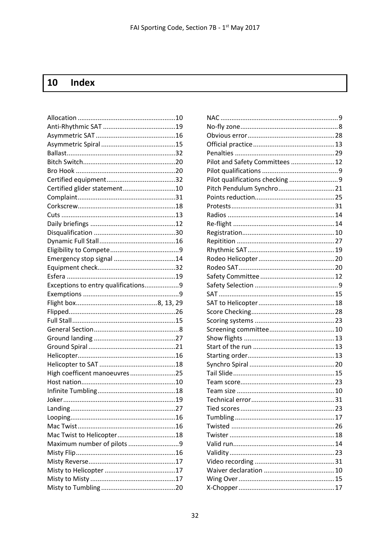#### <span id="page-31-0"></span> $10$ **Index**

| Certified glider statement10        |  |
|-------------------------------------|--|
|                                     |  |
|                                     |  |
|                                     |  |
|                                     |  |
|                                     |  |
|                                     |  |
|                                     |  |
| Emergency stop signal 14            |  |
|                                     |  |
|                                     |  |
| Exceptions to entry qualifications9 |  |
|                                     |  |
|                                     |  |
|                                     |  |
|                                     |  |
|                                     |  |
|                                     |  |
|                                     |  |
|                                     |  |
|                                     |  |
|                                     |  |
| High coefficent manoeuvres25        |  |
|                                     |  |
|                                     |  |
|                                     |  |
| Landing                             |  |
|                                     |  |
|                                     |  |
| Mac Twist to Helicopter18           |  |
| Maximum number of pilots 9          |  |
|                                     |  |
|                                     |  |
|                                     |  |
|                                     |  |

| Pilot and Safety Committees  12 |  |
|---------------------------------|--|
|                                 |  |
|                                 |  |
| Pitch Pendulum Synchro 21       |  |
|                                 |  |
|                                 |  |
|                                 |  |
|                                 |  |
|                                 |  |
|                                 |  |
|                                 |  |
|                                 |  |
|                                 |  |
|                                 |  |
|                                 |  |
|                                 |  |
|                                 |  |
|                                 |  |
|                                 |  |
|                                 |  |
|                                 |  |
|                                 |  |
|                                 |  |
|                                 |  |
|                                 |  |
|                                 |  |
|                                 |  |
|                                 |  |
|                                 |  |
|                                 |  |
|                                 |  |
|                                 |  |
|                                 |  |
|                                 |  |
|                                 |  |
|                                 |  |
|                                 |  |
|                                 |  |